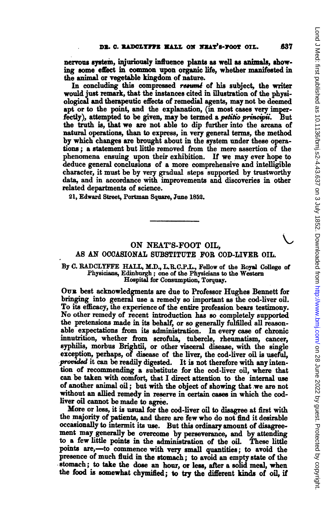nervous system, injuriously influence plants as well as animals, showing some effect in common upon organic life, whether manifested in the animal or vegetable kingdom of nature.

In concluding this compressed resume of his subject, the writer would just remark, that the instances cited in illustration of the physiological and therapeutic effects of remedial agents, may not be deemed apt or to the point, and the explanation, (in most cases very imperfectly), attempted to be given, may be termed a *petitio principii*. But the truth is, that we are not able to dip further into the arcana of natural operations, than to express, in very general terms, the method by which changes are brought about in the system under these operations; a statement but little removed from the mere assertion of the phenomena ensuing upon their exhibition. If we may ever hope to deduce general conclusions of a more comprehensive and intelligible character, it must be by very gradual steps supported by trustworthy data, and in accordance with improvements and discoveries in other related departments of science.

21, Edward Street, Portman Square, June 1852.

## ON NEAT'S-FOOT OIL,

## AS AN OCCASIONAL SUBSTITUTE FOR COD-LIVER OIL.

By C. RADCLYFFE HAIL1 M1D., L.RC.P.L., Fellow of the Royal College of Physicians, Edinburgh; one of the Physicians to the Western Hospital for Consumption, Torquay.

Oux best acknowledgments are due to Professor Hughes Bennett for bringing into generaI use a remedy so important as the cod-liver oil. To its efficacy, the experience of the entire profession bears testimony. No other remedy of recent introduction has so completely supported the pretensions made in its behalf, or so generally fulfilled all reasonable expectations from its administration. In every case of chronic innutrition, whether from scrofula, tubercle, rheumatism, cancer, syphilis, morbus Brightii, or other visceral disease, with the single exception, perhaps, of disease of the liver, the cod-liver oil is useful, provided it can be readily digested. It is not therefore with any intention of recommending a substitute for the cod-liver oil, where that can be taken with comfort, that I direct attention to the internal use of another animal oil; but with the object of showing that we are not wthout an allied remedy in reserve in certain cases in which the codliver oil cannot be made to agree.

More or less, it is usual for the cod-liver oil to disagree at first with the majority of patients, and there are few who do not find it desirable occasionally to intermit its use. But this ordinary amount of disagreement may generally be overcome by perseverance, and by attending to a few little points in the adminitration of the oil. These little points are,—to commence with very small quantities; to avoid the presence of much fluid in the stomach; to avoid an empty state of the stomach; to take the dose an hour, or less, after a solid meal, when the food is somewhat chymified; to try the different kinds of oil, if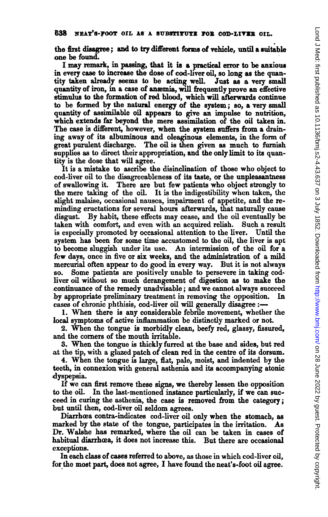the first disagree; and to try different forms of vehicle, until a suitable one be found.

<sup>I</sup> may remark, in passing, that it is a practical error to be anxious in every case to increase the dose of cod-liver oil, so long as the quantity taken already geems to be acting well. Just as a very smal quantity of iron, in a case of anemia, will frequently prove an effective stimulus to the formation of red blood, which will afterwards continue to be formed by the natural energy of the system; so, a very small quantity of assimilable oil appears to give an impulse to nutrition, which extends far beyond the mere assimilation of the oil taken in. The case is different, however, when the system suffers from a draining away of its albuminous and oleaginous elements, in the form of great purulent discharge. The oil is then given as much to furnish supplies as to direct their appropriation, and the only limit to its quantity is the dose that will agree.

It is a mistake to ascribe the disinclination of those who object to cod-liver oil to the disagreeableness of its taste, or the unpleasantness of swallowing it. There are but few patients who object strongly to the mere taking of the oil. It is the indigestibility when taken, the slight malaise, occasional nausea, impairment of appetite, and the reminding eructations for several hours afterwards, that naturally cause disgust. By habit, these effects may cease, and the oil eventually be taken with comfort, and even with an acquired relish. Such a result is especially promoted by occasional attention to the liver. Until the system has been for some time accustomed to the oil, the liver is apt to become sluggish under its use. An intermission of the oil for a few days, once in five or six weeks, and the administration of a mild mercurial often appear to do good in every way. But it is not always so. Some patients are positively unable to persevere in taking codliver oil without so much derangement of digestion as to make the continuance of the remedy unadvisable; and we cannot always succeed by appropriate preliminary treatment in removing the opposition. In cases of chronic phthisis, cod-liver oil will generally disagree:-

1. When there is any considerable febrile movement, whether the local symptoms of active inflammation be distinctly marked or not.

2. When the tongue is morbidly clean, beefy red, glassy, fissured, and the corners of the mouth irritable.

3. When the tongue is thickly furred at the base and sides, but red at the tip, with a glazed patch of clean red in the centre of its dorsum.

4. When the tongue is large, flat, pale, moist, and indented by the teeth, in connexion with general asthenia and its accompanying atonic dyspepsia.

If we can first remove these signs, we thereby lessen the opposition to the oil. In the last-mentioned instance particularly, if we can succeed in curing the asthenia, the case is removed from the category; but until then, cod-liver oil seldom agrees.

Diarrhoea contra-indicates cod-liver oil only when the stomach, as marked by the state of the tongue, participates in the irritation. As Dr. Walshe has remarked, where the oil can be taken in cases of habitual diarrhoea, it does not increase this. But there are occasional exceptions.

In each class of cases referred to above, as those in which cod-liver oil, for the most part, does not agree, I have found the neat's-foot oil agree.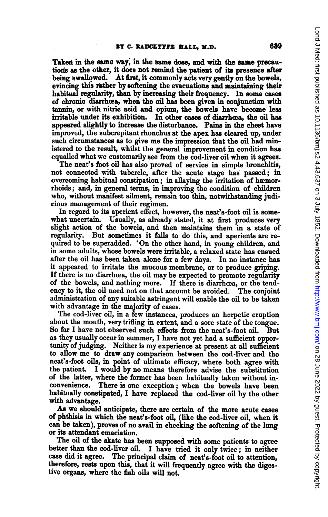Taken in the same way, in the same dose, and with the same precautions as the other, it does not remind the patient of its presence after being swallowed. At first, it commonly acts very gently on the bowels, evincing this rather by softening the evacuations and mantaining their habitual regularity; than by increasing their frequency. In some cases of chronic diarhoa, when the oil has been given in conjunction with tannin, or with nitric acid and opium, the bowels have beoome less irritable under its exhibition. In other cases of diarrhea, the oil has appeared slightly to increase the disturbance. Pains in the chest have improved, the subcrepitant rhonchus at the apex has cleared up, under such circumstances as to give me the impression that the oil had ministered to the result, whilst the general improvement in condition has equalled what we customarily see from the cod-liver oil when it agrees.

The neat's foot oil has also proved of service in simple bronchitis, not connected with tubercle, after the acute stage has passed; in overcoming habitual constipation; in allaying the irritation of hæmorrhoids; and, in general terms, in improving the condition of children who, without manifest ailment, remain too thin, notwithstanding judicious management of their regimen.

In regard to its aperient effect, however, the neat's-foot oil is somewhat uncertain. Usually, as already stated, it at first produces very slight action of the bowels, and then maintains them in a state of regularity. But sometimes it fails to do this, and aperients are required to be superadded. 'On the other hand, in young children, and in some adults, whose bowels were irritable, a relaxed state has ensued after the oil has been taken alone for a few days. In no instance has it appeared to irritate the mucous membrane, or to produce griping. If there is no diarrhœa, the oil may be expected to promote regularity of the bowels, and nothing more. If there is diarrhoea, or the tendency to it, the oil need not on that account be avoided. The conjoint administration of any suitable astringent will enable the oil to be taken with advantage in the majority of cases.

The cod-liver oil, in a few instances, produces an herpetic eruption about the mouth, very trifling in extent, and a sore state of the tongue. So far <sup>I</sup> have not observed such effects from the neat's-foot oil. But as they usually occur in summer, I have not yet had a sufficient opportunity of judging. Neither is my experience at present at all sufficient to allow me to draw any comparison between the cod-liver and the neat's-foot oils, in point of ultimate efficacy, where both agree with the patient. 1 would by no means therefore advise the substitution of the latter, where the former has been habitually taken without inconvenience. There is one exception; when the bowels have been habitually constipated, I have replaced the cod-liver oil by the other with advantage.

As we should anticipate, there are certain of the more acute cases of phthisis in which the neat's-foot oil, (like the cod-liver oil, when it can be taken), proves of no avail in checking the softening of the lung or its attendant emaciation.

The oil of the skate has been supposed with some patients to agree<br>better than the cod-liver oil. I have tried it only twice; in neither I have tried it only twice; in neither case did it agree. The principal claim of neat's-foot oil to attention, therefore, rests upon this, that it will frequently agree with the digestive organs, where the fish oils will not.